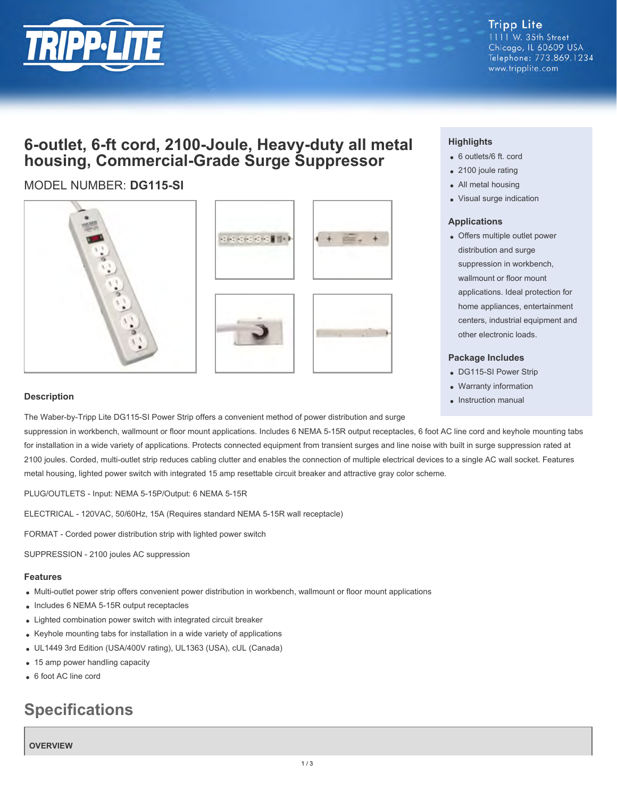

**Tripp Lite** 1111 W. 35th Street Chicago, IL 60609 USA Telephone: 773.869.1234 www.tripplite.com

## **6-outlet, 6-ft cord, 2100-Joule, Heavy-duty all metal housing, Commercial-Grade Surge Suppressor**

### MODEL NUMBER: **DG115-SI**









#### **Highlights**

- 6 outlets/6 ft. cord
- 2100 joule rating
- All metal housing
- Visual surge indication

#### **Applications**

Offers multiple outlet power distribution and surge suppression in workbench, wallmount or floor mount applications. Ideal protection for home appliances, entertainment centers, industrial equipment and other electronic loads.

#### **Package Includes**

- DG115-SI Power Strip
- Warranty information
- Instruction manual

#### **Description**

The Waber-by-Tripp Lite DG115-SI Power Strip offers a convenient method of power distribution and surge

suppression in workbench, wallmount or floor mount applications. Includes 6 NEMA 5-15R output receptacles, 6 foot AC line cord and keyhole mounting tabs for installation in a wide variety of applications. Protects connected equipment from transient surges and line noise with built in surge suppression rated at 2100 joules. Corded, multi-outlet strip reduces cabling clutter and enables the connection of multiple electrical devices to a single AC wall socket. Features metal housing, lighted power switch with integrated 15 amp resettable circuit breaker and attractive gray color scheme.

PLUG/OUTLETS - Input: NEMA 5-15P/Output: 6 NEMA 5-15R

ELECTRICAL - 120VAC, 50/60Hz, 15A (Requires standard NEMA 5-15R wall receptacle)

FORMAT - Corded power distribution strip with lighted power switch

SUPPRESSION - 2100 joules AC suppression

#### **Features**

- Multi-outlet power strip offers convenient power distribution in workbench, wallmount or floor mount applications
- Includes 6 NEMA 5-15R output receptacles
- Lighted combination power switch with integrated circuit breaker
- Keyhole mounting tabs for installation in a wide variety of applications
- UL1449 3rd Edition (USA/400V rating), UL1363 (USA), cUL (Canada)
- 15 amp power handling capacity
- 6 foot AC line cord

# **Specifications**

#### **OVERVIEW**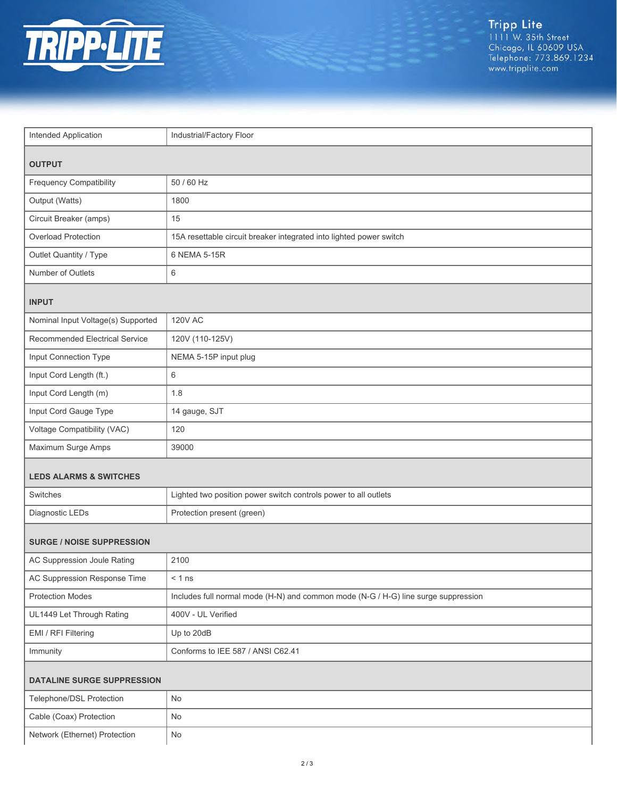

| Intended Application               | Industrial/Factory Floor                                                           |  |
|------------------------------------|------------------------------------------------------------------------------------|--|
|                                    |                                                                                    |  |
| <b>OUTPUT</b>                      |                                                                                    |  |
| <b>Frequency Compatibility</b>     | 50 / 60 Hz                                                                         |  |
| Output (Watts)                     | 1800                                                                               |  |
| Circuit Breaker (amps)             | 15                                                                                 |  |
| Overload Protection                | 15A resettable circuit breaker integrated into lighted power switch                |  |
| Outlet Quantity / Type             | 6 NEMA 5-15R                                                                       |  |
| Number of Outlets                  | 6                                                                                  |  |
| <b>INPUT</b>                       |                                                                                    |  |
| Nominal Input Voltage(s) Supported | <b>120V AC</b>                                                                     |  |
| Recommended Electrical Service     | 120V (110-125V)                                                                    |  |
| Input Connection Type              | NEMA 5-15P input plug                                                              |  |
| Input Cord Length (ft.)            | 6                                                                                  |  |
| Input Cord Length (m)              | 1.8                                                                                |  |
| Input Cord Gauge Type              | 14 gauge, SJT                                                                      |  |
| Voltage Compatibility (VAC)        | 120                                                                                |  |
| Maximum Surge Amps                 | 39000                                                                              |  |
| <b>LEDS ALARMS &amp; SWITCHES</b>  |                                                                                    |  |
| <b>Switches</b>                    | Lighted two position power switch controls power to all outlets                    |  |
| Diagnostic LEDs                    | Protection present (green)                                                         |  |
|                                    |                                                                                    |  |
| <b>SURGE / NOISE SUPPRESSION</b>   |                                                                                    |  |
| AC Suppression Joule Rating        | 2100                                                                               |  |
| AC Suppression Response Time       | $< 1$ ns                                                                           |  |
| <b>Protection Modes</b>            | Includes full normal mode (H-N) and common mode (N-G / H-G) line surge suppression |  |
| UL1449 Let Through Rating          | 400V - UL Verified                                                                 |  |
| EMI / RFI Filtering                | Up to 20dB                                                                         |  |
| Immunity                           | Conforms to IEE 587 / ANSI C62.41                                                  |  |
| <b>DATALINE SURGE SUPPRESSION</b>  |                                                                                    |  |
| Telephone/DSL Protection           | No                                                                                 |  |
| Cable (Coax) Protection            | No                                                                                 |  |
| Network (Ethernet) Protection      | $\mathsf{No}$                                                                      |  |